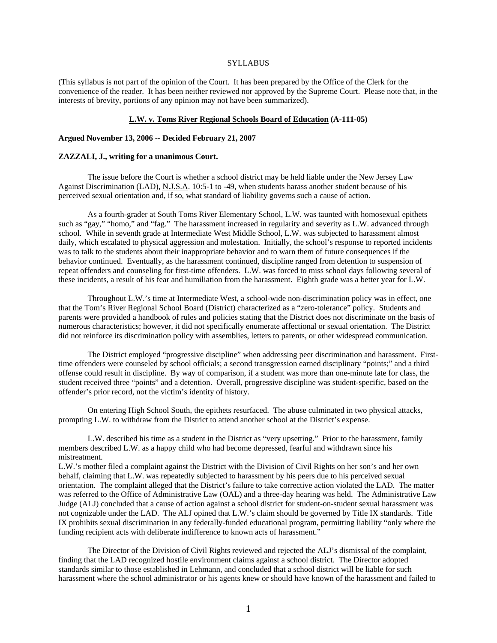## **SYLLABUS**

(This syllabus is not part of the opinion of the Court. It has been prepared by the Office of the Clerk for the convenience of the reader. It has been neither reviewed nor approved by the Supreme Court. Please note that, in the interests of brevity, portions of any opinion may not have been summarized).

#### **L.W. v. Toms River Regional Schools Board of Education (A-111-05)**

#### **Argued November 13, 2006 -- Decided February 21, 2007**

## **ZAZZALI, J., writing for a unanimous Court.**

 The issue before the Court is whether a school district may be held liable under the New Jersey Law Against Discrimination (LAD), N.J.S.A. 10:5-1 to -49, when students harass another student because of his perceived sexual orientation and, if so, what standard of liability governs such a cause of action.

 As a fourth-grader at South Toms River Elementary School, L.W. was taunted with homosexual epithets such as "gay," "homo," and "fag." The harassment increased in regularity and severity as L.W. advanced through school. While in seventh grade at Intermediate West Middle School, L.W. was subjected to harassment almost daily, which escalated to physical aggression and molestation. Initially, the school's response to reported incidents was to talk to the students about their inappropriate behavior and to warn them of future consequences if the behavior continued. Eventually, as the harassment continued, discipline ranged from detention to suspension of repeat offenders and counseling for first-time offenders. L.W. was forced to miss school days following several of these incidents, a result of his fear and humiliation from the harassment. Eighth grade was a better year for L.W.

 Throughout L.W.'s time at Intermediate West, a school-wide non-discrimination policy was in effect, one that the Tom's River Regional School Board (District) characterized as a "zero-tolerance" policy. Students and parents were provided a handbook of rules and policies stating that the District does not discriminate on the basis of numerous characteristics; however, it did not specifically enumerate affectional or sexual orientation. The District did not reinforce its discrimination policy with assemblies, letters to parents, or other widespread communication.

 The District employed "progressive discipline" when addressing peer discrimination and harassment. Firsttime offenders were counseled by school officials; a second transgression earned disciplinary "points;" and a third offense could result in discipline. By way of comparison, if a student was more than one-minute late for class, the student received three "points" and a detention. Overall, progressive discipline was student-specific, based on the offender's prior record, not the victim's identity of history.

 On entering High School South, the epithets resurfaced. The abuse culminated in two physical attacks, prompting L.W. to withdraw from the District to attend another school at the District's expense.

 L.W. described his time as a student in the District as "very upsetting." Prior to the harassment, family members described L.W. as a happy child who had become depressed, fearful and withdrawn since his mistreatment.

L.W.'s mother filed a complaint against the District with the Division of Civil Rights on her son's and her own behalf, claiming that L.W. was repeatedly subjected to harassment by his peers due to his perceived sexual orientation. The complaint alleged that the District's failure to take corrective action violated the LAD. The matter was referred to the Office of Administrative Law (OAL) and a three-day hearing was held. The Administrative Law Judge (ALJ) concluded that a cause of action against a school district for student-on-student sexual harassment was not cognizable under the LAD. The ALJ opined that L.W.'s claim should be governed by Title IX standards. Title IX prohibits sexual discrimination in any federally-funded educational program, permitting liability "only where the funding recipient acts with deliberate indifference to known acts of harassment."

 The Director of the Division of Civil Rights reviewed and rejected the ALJ's dismissal of the complaint, finding that the LAD recognized hostile environment claims against a school district. The Director adopted standards similar to those established in Lehmann, and concluded that a school district will be liable for such harassment where the school administrator or his agents knew or should have known of the harassment and failed to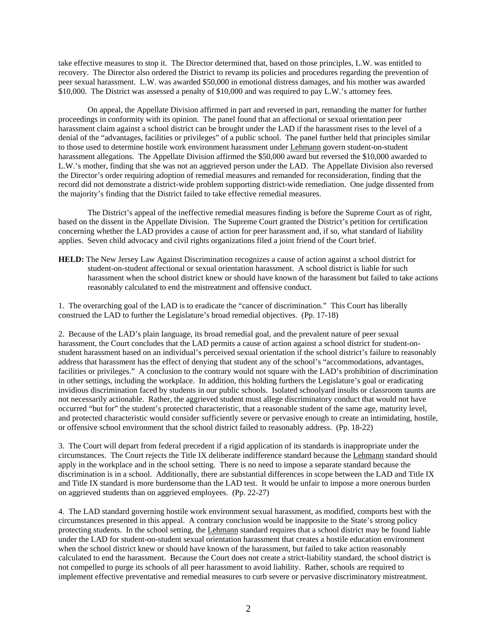take effective measures to stop it. The Director determined that, based on those principles, L.W. was entitled to recovery. The Director also ordered the District to revamp its policies and procedures regarding the prevention of peer sexual harassment. L.W. was awarded \$50,000 in emotional distress damages, and his mother was awarded \$10,000. The District was assessed a penalty of \$10,000 and was required to pay L.W.'s attorney fees.

 On appeal, the Appellate Division affirmed in part and reversed in part, remanding the matter for further proceedings in conformity with its opinion. The panel found that an affectional or sexual orientation peer harassment claim against a school district can be brought under the LAD if the harassment rises to the level of a denial of the "advantages, facilities or privileges" of a public school. The panel further held that principles similar to those used to determine hostile work environment harassment under Lehmann govern student-on-student harassment allegations. The Appellate Division affirmed the \$50,000 award but reversed the \$10,000 awarded to L.W.'s mother, finding that she was not an aggrieved person under the LAD. The Appellate Division also reversed the Director's order requiring adoption of remedial measures and remanded for reconsideration, finding that the record did not demonstrate a district-wide problem supporting district-wide remediation. One judge dissented from the majority's finding that the District failed to take effective remedial measures.

 The District's appeal of the ineffective remedial measures finding is before the Supreme Court as of right, based on the dissent in the Appellate Division. The Supreme Court granted the District's petition for certification concerning whether the LAD provides a cause of action for peer harassment and, if so, what standard of liability applies. Seven child advocacy and civil rights organizations filed a joint friend of the Court brief.

**HELD:** The New Jersey Law Against Discrimination recognizes a cause of action against a school district for student-on-student affectional or sexual orientation harassment. A school district is liable for such harassment when the school district knew or should have known of the harassment but failed to take actions reasonably calculated to end the mistreatment and offensive conduct.

1. The overarching goal of the LAD is to eradicate the "cancer of discrimination." This Court has liberally construed the LAD to further the Legislature's broad remedial objectives. (Pp. 17-18)

2. Because of the LAD's plain language, its broad remedial goal, and the prevalent nature of peer sexual harassment, the Court concludes that the LAD permits a cause of action against a school district for student-onstudent harassment based on an individual's perceived sexual orientation if the school district's failure to reasonably address that harassment has the effect of denying that student any of the school's "accommodations, advantages, facilities or privileges." A conclusion to the contrary would not square with the LAD's prohibition of discrimination in other settings, including the workplace. In addition, this holding furthers the Legislature's goal or eradicating invidious discrimination faced by students in our public schools. Isolated schoolyard insults or classroom taunts are not necessarily actionable. Rather, the aggrieved student must allege discriminatory conduct that would not have occurred "but for" the student's protected characteristic, that a reasonable student of the same age, maturity level, and protected characteristic would consider sufficiently severe or pervasive enough to create an intimidating, hostile, or offensive school environment that the school district failed to reasonably address. (Pp. 18-22)

3. The Court will depart from federal precedent if a rigid application of its standards is inappropriate under the circumstances. The Court rejects the Title IX deliberate indifference standard because the Lehmann standard should apply in the workplace and in the school setting. There is no need to impose a separate standard because the discrimination is in a school. Additionally, there are substantial differences in scope between the LAD and Title IX and Title IX standard is more burdensome than the LAD test. It would be unfair to impose a more onerous burden on aggrieved students than on aggrieved employees. (Pp. 22-27)

4. The LAD standard governing hostile work environment sexual harassment, as modified, comports best with the circumstances presented in this appeal. A contrary conclusion would be inapposite to the State's strong policy protecting students. In the school setting, the Lehmann standard requires that a school district may be found liable under the LAD for student-on-student sexual orientation harassment that creates a hostile education environment when the school district knew or should have known of the harassment, but failed to take action reasonably calculated to end the harassment. Because the Court does not create a strict-liability standard, the school district is not compelled to purge its schools of all peer harassment to avoid liability. Rather, schools are required to implement effective preventative and remedial measures to curb severe or pervasive discriminatory mistreatment.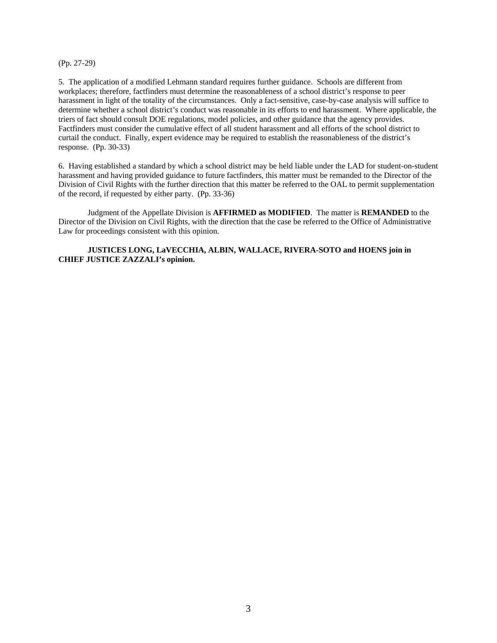(Pp. 27-29)

5. The application of a modified Lehmann standard requires further guidance. Schools are different from workplaces; therefore, factfinders must determine the reasonableness of a school district's response to peer harassment in light of the totality of the circumstances. Only a fact-sensitive, case-by-case analysis will suffice to determine whether a school district's conduct was reasonable in its efforts to end harassment. Where applicable, the triers of fact should consult DOE regulations, model policies, and other guidance that the agency provides. Factfinders must consider the cumulative effect of all student harassment and all efforts of the school district to curtail the conduct. Finally, expert evidence may be required to establish the reasonableness of the district's response. (Pp. 30-33)

6. Having established a standard by which a school district may be held liable under the LAD for student-on-student harassment and having provided guidance to future factfinders, this matter must be remanded to the Director of the Division of Civil Rights with the further direction that this matter be referred to the OAL to permit supplementation of the record, if requested by either party. (Pp. 33-36)

 Judgment of the Appellate Division is **AFFIRMED as MODIFIED**. The matter is **REMANDED** to the Director of the Division on Civil Rights, with the direction that the case be referred to the Office of Administrative Law for proceedings consistent with this opinion.

# **JUSTICES LONG, LaVECCHIA, ALBIN, WALLACE, RIVERA-SOTO and HOENS join in CHIEF JUSTICE ZAZZALI's opinion.**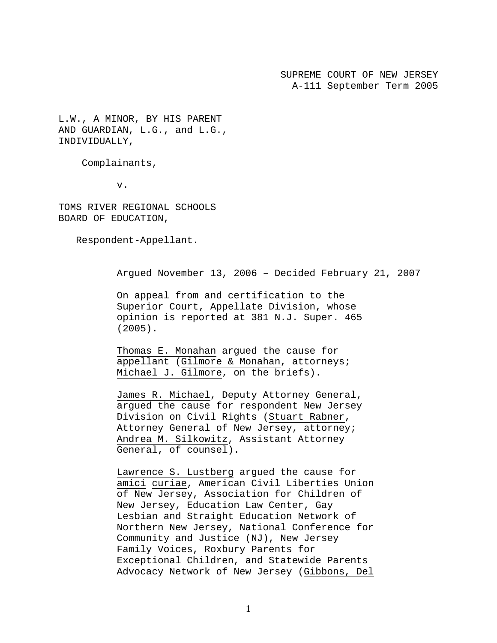SUPREME COURT OF NEW JERSEY A-111 September Term 2005

L.W., A MINOR, BY HIS PARENT AND GUARDIAN, L.G., and L.G., INDIVIDUALLY,

Complainants,

v.

TOMS RIVER REGIONAL SCHOOLS BOARD OF EDUCATION,

Respondent-Appellant.

Argued November 13, 2006 – Decided February 21, 2007

On appeal from and certification to the Superior Court, Appellate Division, whose opinion is reported at 381 N.J. Super. 465 (2005).

Thomas E. Monahan argued the cause for appellant (Gilmore & Monahan, attorneys; Michael J. Gilmore, on the briefs).

James R. Michael, Deputy Attorney General, argued the cause for respondent New Jersey Division on Civil Rights (Stuart Rabner, Attorney General of New Jersey, attorney; Andrea M. Silkowitz, Assistant Attorney General, of counsel).

Lawrence S. Lustberg argued the cause for amici curiae, American Civil Liberties Union of New Jersey, Association for Children of New Jersey, Education Law Center, Gay Lesbian and Straight Education Network of Northern New Jersey, National Conference for Community and Justice (NJ), New Jersey Family Voices, Roxbury Parents for Exceptional Children, and Statewide Parents Advocacy Network of New Jersey (Gibbons, Del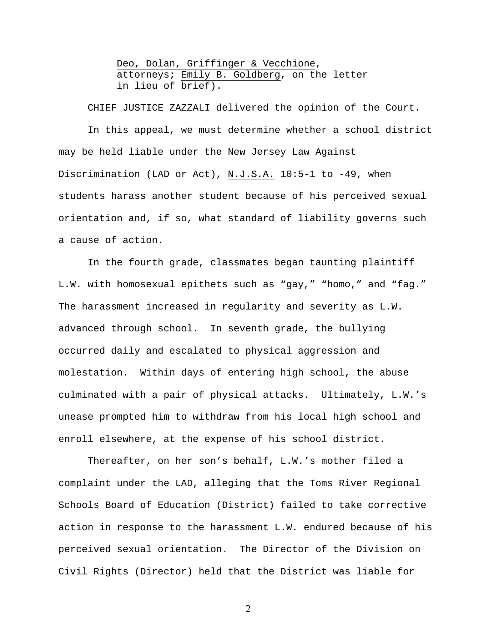Deo, Dolan, Griffinger & Vecchione, attorneys; Emily B. Goldberg, on the letter in lieu of brief).

CHIEF JUSTICE ZAZZALI delivered the opinion of the Court.

 In this appeal, we must determine whether a school district may be held liable under the New Jersey Law Against Discrimination (LAD or Act), N.J.S.A. 10:5-1 to -49, when students harass another student because of his perceived sexual orientation and, if so, what standard of liability governs such a cause of action.

In the fourth grade, classmates began taunting plaintiff L.W. with homosexual epithets such as "gay," "homo," and "fag." The harassment increased in regularity and severity as L.W. advanced through school. In seventh grade, the bullying occurred daily and escalated to physical aggression and molestation. Within days of entering high school, the abuse culminated with a pair of physical attacks. Ultimately, L.W.'s unease prompted him to withdraw from his local high school and enroll elsewhere, at the expense of his school district.

Thereafter, on her son's behalf, L.W.'s mother filed a complaint under the LAD, alleging that the Toms River Regional Schools Board of Education (District) failed to take corrective action in response to the harassment L.W. endured because of his perceived sexual orientation. The Director of the Division on Civil Rights (Director) held that the District was liable for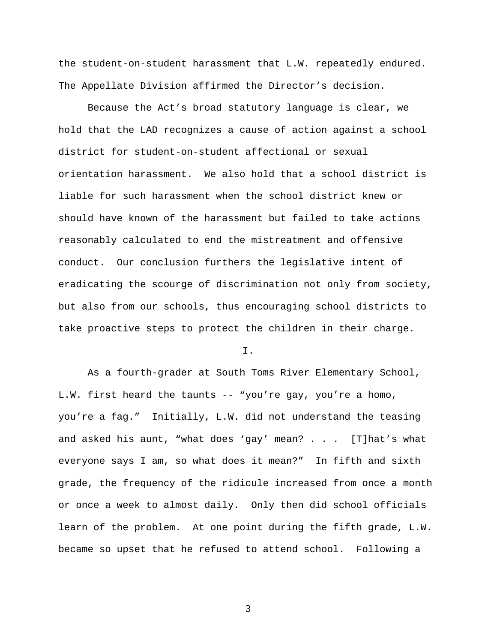the student-on-student harassment that L.W. repeatedly endured. The Appellate Division affirmed the Director's decision.

 Because the Act's broad statutory language is clear, we hold that the LAD recognizes a cause of action against a school district for student-on-student affectional or sexual orientation harassment. We also hold that a school district is liable for such harassment when the school district knew or should have known of the harassment but failed to take actions reasonably calculated to end the mistreatment and offensive conduct. Our conclusion furthers the legislative intent of eradicating the scourge of discrimination not only from society, but also from our schools, thus encouraging school districts to take proactive steps to protect the children in their charge.

I.

As a fourth-grader at South Toms River Elementary School, L.W. first heard the taunts -- "you're gay, you're a homo, you're a fag." Initially, L.W. did not understand the teasing and asked his aunt, "what does 'gay' mean? . . . [T]hat's what everyone says I am, so what does it mean?" In fifth and sixth grade, the frequency of the ridicule increased from once a month or once a week to almost daily. Only then did school officials learn of the problem. At one point during the fifth grade, L.W. became so upset that he refused to attend school. Following a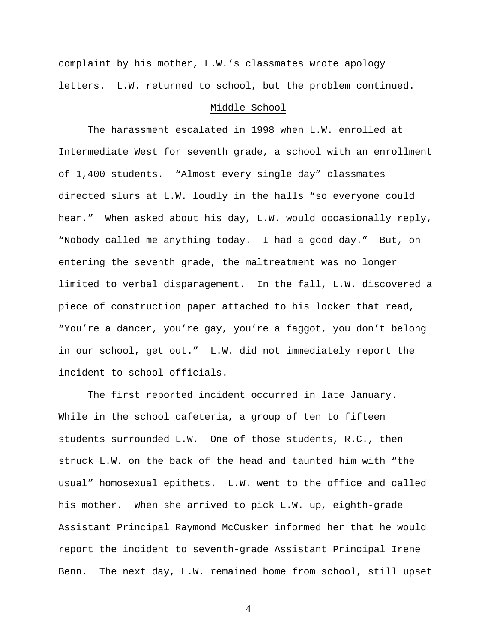complaint by his mother, L.W.'s classmates wrote apology letters. L.W. returned to school, but the problem continued.

## Middle School

The harassment escalated in 1998 when L.W. enrolled at Intermediate West for seventh grade, a school with an enrollment of 1,400 students. "Almost every single day" classmates directed slurs at L.W. loudly in the halls "so everyone could hear." When asked about his day, L.W. would occasionally reply, "Nobody called me anything today. I had a good day." But, on entering the seventh grade, the maltreatment was no longer limited to verbal disparagement. In the fall, L.W. discovered a piece of construction paper attached to his locker that read, "You're a dancer, you're gay, you're a faggot, you don't belong in our school, get out." L.W. did not immediately report the incident to school officials.

The first reported incident occurred in late January. While in the school cafeteria, a group of ten to fifteen students surrounded L.W. One of those students, R.C., then struck L.W. on the back of the head and taunted him with "the usual" homosexual epithets. L.W. went to the office and called his mother. When she arrived to pick L.W. up, eighth-grade Assistant Principal Raymond McCusker informed her that he would report the incident to seventh-grade Assistant Principal Irene Benn. The next day, L.W. remained home from school, still upset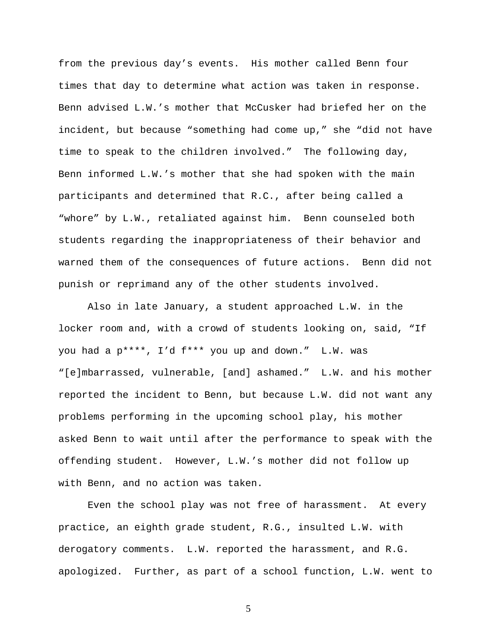from the previous day's events. His mother called Benn four times that day to determine what action was taken in response. Benn advised L.W.'s mother that McCusker had briefed her on the incident, but because "something had come up," she "did not have time to speak to the children involved." The following day, Benn informed L.W.'s mother that she had spoken with the main participants and determined that R.C., after being called a "whore" by L.W., retaliated against him. Benn counseled both students regarding the inappropriateness of their behavior and warned them of the consequences of future actions. Benn did not punish or reprimand any of the other students involved.

 Also in late January, a student approached L.W. in the locker room and, with a crowd of students looking on, said, "If you had a p\*\*\*\*, I'd f\*\*\* you up and down." L.W. was "[e]mbarrassed, vulnerable, [and] ashamed." L.W. and his mother reported the incident to Benn, but because L.W. did not want any problems performing in the upcoming school play, his mother asked Benn to wait until after the performance to speak with the offending student. However, L.W.'s mother did not follow up with Benn, and no action was taken.

 Even the school play was not free of harassment. At every practice, an eighth grade student, R.G., insulted L.W. with derogatory comments. L.W. reported the harassment, and R.G. apologized. Further, as part of a school function, L.W. went to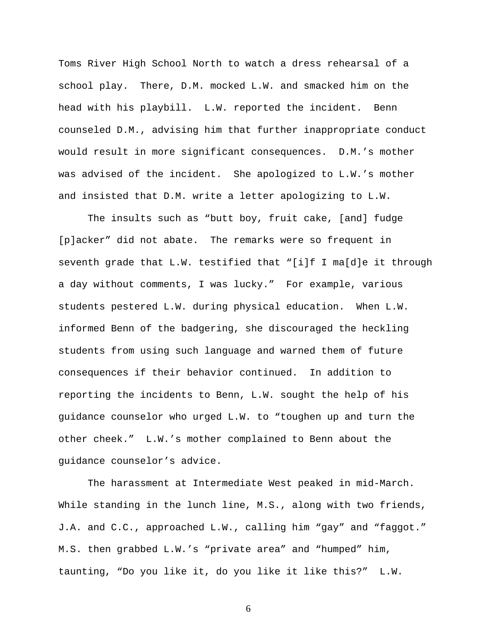Toms River High School North to watch a dress rehearsal of a school play. There, D.M. mocked L.W. and smacked him on the head with his playbill. L.W. reported the incident. Benn counseled D.M., advising him that further inappropriate conduct would result in more significant consequences. D.M.'s mother was advised of the incident. She apologized to L.W.'s mother and insisted that D.M. write a letter apologizing to L.W.

 The insults such as "butt boy, fruit cake, [and] fudge [p]acker" did not abate. The remarks were so frequent in seventh grade that L.W. testified that "[i]f I ma[d]e it through a day without comments, I was lucky." For example, various students pestered L.W. during physical education. When L.W. informed Benn of the badgering, she discouraged the heckling students from using such language and warned them of future consequences if their behavior continued. In addition to reporting the incidents to Benn, L.W. sought the help of his guidance counselor who urged L.W. to "toughen up and turn the other cheek." L.W.'s mother complained to Benn about the guidance counselor's advice.

 The harassment at Intermediate West peaked in mid-March. While standing in the lunch line, M.S., along with two friends, J.A. and C.C., approached L.W., calling him "gay" and "faggot." M.S. then grabbed L.W.'s "private area" and "humped" him, taunting, "Do you like it, do you like it like this?" L.W.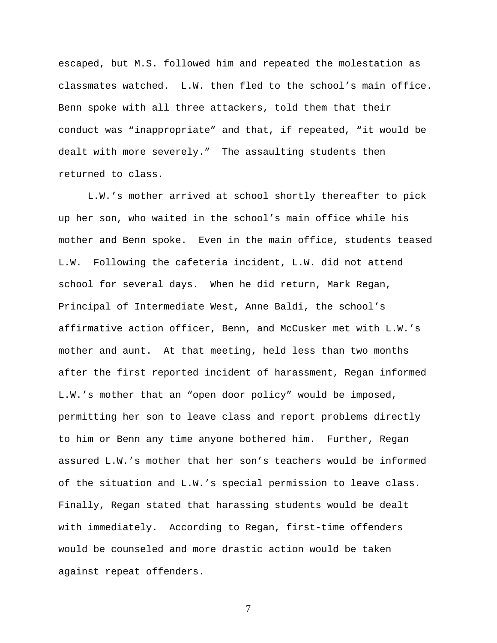escaped, but M.S. followed him and repeated the molestation as classmates watched. L.W. then fled to the school's main office. Benn spoke with all three attackers, told them that their conduct was "inappropriate" and that, if repeated, "it would be dealt with more severely." The assaulting students then returned to class.

 L.W.'s mother arrived at school shortly thereafter to pick up her son, who waited in the school's main office while his mother and Benn spoke. Even in the main office, students teased L.W. Following the cafeteria incident, L.W. did not attend school for several days. When he did return, Mark Regan, Principal of Intermediate West, Anne Baldi, the school's affirmative action officer, Benn, and McCusker met with L.W.'s mother and aunt. At that meeting, held less than two months after the first reported incident of harassment, Regan informed L.W.'s mother that an "open door policy" would be imposed, permitting her son to leave class and report problems directly to him or Benn any time anyone bothered him. Further, Regan assured L.W.'s mother that her son's teachers would be informed of the situation and L.W.'s special permission to leave class. Finally, Regan stated that harassing students would be dealt with immediately. According to Regan, first-time offenders would be counseled and more drastic action would be taken against repeat offenders.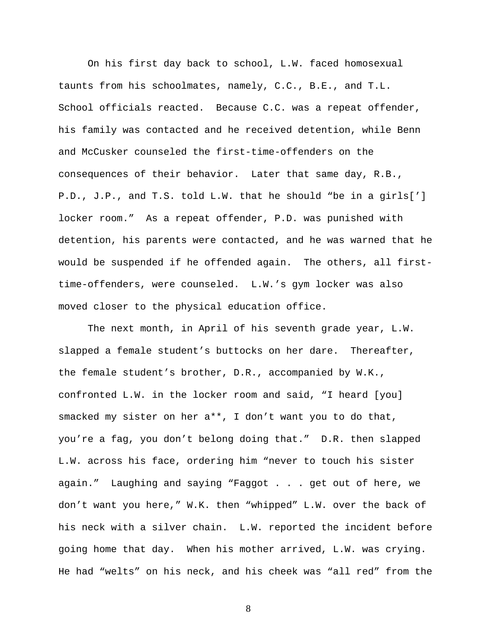On his first day back to school, L.W. faced homosexual taunts from his schoolmates, namely, C.C., B.E., and T.L. School officials reacted. Because C.C. was a repeat offender, his family was contacted and he received detention, while Benn and McCusker counseled the first-time-offenders on the consequences of their behavior. Later that same day, R.B., P.D., J.P., and T.S. told L.W. that he should "be in a girls['] locker room." As a repeat offender, P.D. was punished with detention, his parents were contacted, and he was warned that he would be suspended if he offended again. The others, all firsttime-offenders, were counseled. L.W.'s gym locker was also moved closer to the physical education office.

 The next month, in April of his seventh grade year, L.W. slapped a female student's buttocks on her dare. Thereafter, the female student's brother, D.R., accompanied by W.K., confronted L.W. in the locker room and said, "I heard [you] smacked my sister on her a\*\*, I don't want you to do that, you're a fag, you don't belong doing that." D.R. then slapped L.W. across his face, ordering him "never to touch his sister again." Laughing and saying "Faggot . . . get out of here, we don't want you here," W.K. then "whipped" L.W. over the back of his neck with a silver chain. L.W. reported the incident before going home that day. When his mother arrived, L.W. was crying. He had "welts" on his neck, and his cheek was "all red" from the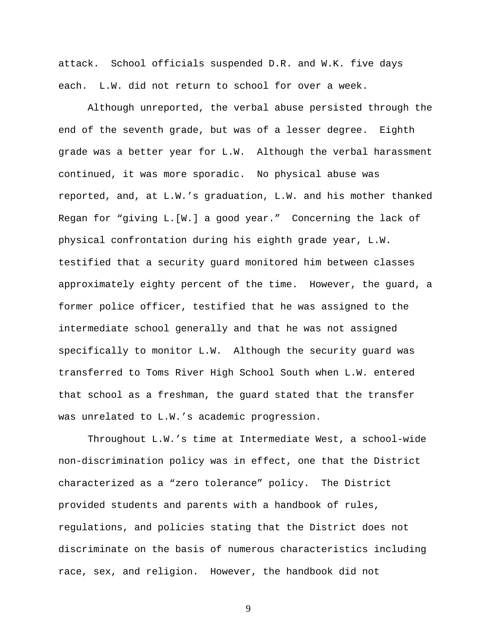attack. School officials suspended D.R. and W.K. five days each. L.W. did not return to school for over a week.

 Although unreported, the verbal abuse persisted through the end of the seventh grade, but was of a lesser degree. Eighth grade was a better year for L.W. Although the verbal harassment continued, it was more sporadic. No physical abuse was reported, and, at L.W.'s graduation, L.W. and his mother thanked Regan for "giving L.[W.] a good year." Concerning the lack of physical confrontation during his eighth grade year, L.W. testified that a security guard monitored him between classes approximately eighty percent of the time. However, the guard, a former police officer, testified that he was assigned to the intermediate school generally and that he was not assigned specifically to monitor L.W. Although the security guard was transferred to Toms River High School South when L.W. entered that school as a freshman, the guard stated that the transfer was unrelated to L.W.'s academic progression.

 Throughout L.W.'s time at Intermediate West, a school-wide non-discrimination policy was in effect, one that the District characterized as a "zero tolerance" policy. The District provided students and parents with a handbook of rules, regulations, and policies stating that the District does not discriminate on the basis of numerous characteristics including race, sex, and religion. However, the handbook did not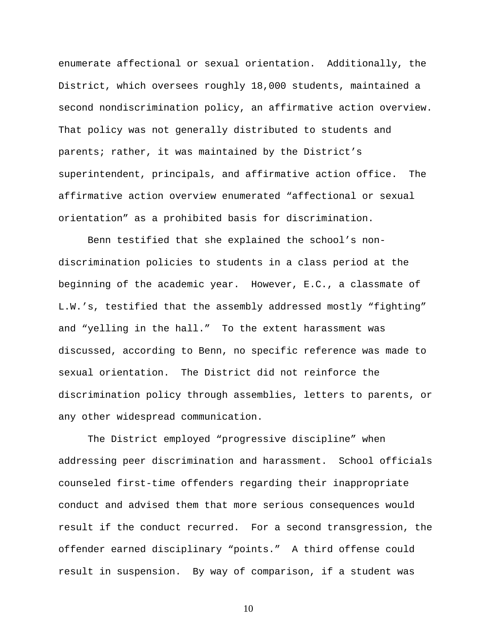enumerate affectional or sexual orientation. Additionally, the District, which oversees roughly 18,000 students, maintained a second nondiscrimination policy, an affirmative action overview. That policy was not generally distributed to students and parents; rather, it was maintained by the District's superintendent, principals, and affirmative action office. The affirmative action overview enumerated "affectional or sexual orientation" as a prohibited basis for discrimination.

Benn testified that she explained the school's nondiscrimination policies to students in a class period at the beginning of the academic year. However, E.C., a classmate of L.W.'s, testified that the assembly addressed mostly "fighting" and "yelling in the hall." To the extent harassment was discussed, according to Benn, no specific reference was made to sexual orientation. The District did not reinforce the discrimination policy through assemblies, letters to parents, or any other widespread communication.

 The District employed "progressive discipline" when addressing peer discrimination and harassment. School officials counseled first-time offenders regarding their inappropriate conduct and advised them that more serious consequences would result if the conduct recurred. For a second transgression, the offender earned disciplinary "points." A third offense could result in suspension. By way of comparison, if a student was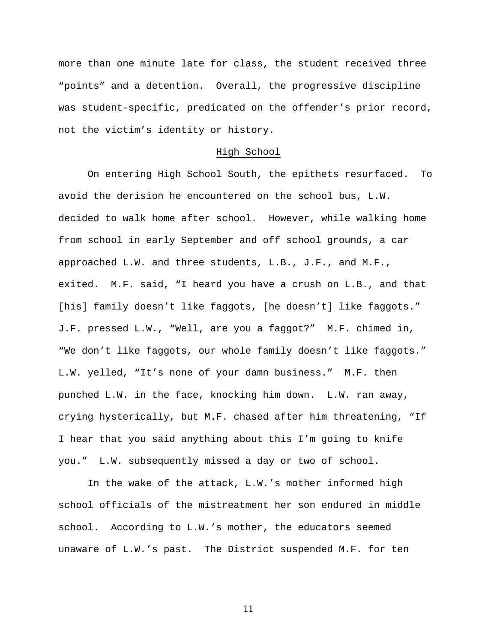more than one minute late for class, the student received three "points" and a detention. Overall, the progressive discipline was student-specific, predicated on the offender's prior record, not the victim's identity or history.

#### High School

 On entering High School South, the epithets resurfaced. To avoid the derision he encountered on the school bus, L.W. decided to walk home after school. However, while walking home from school in early September and off school grounds, a car approached L.W. and three students, L.B., J.F., and M.F., exited. M.F. said, "I heard you have a crush on L.B., and that [his] family doesn't like faggots, [he doesn't] like faggots." J.F. pressed L.W., "Well, are you a faggot?" M.F. chimed in, "We don't like faggots, our whole family doesn't like faggots." L.W. yelled, "It's none of your damn business." M.F. then punched L.W. in the face, knocking him down. L.W. ran away, crying hysterically, but M.F. chased after him threatening, "If I hear that you said anything about this I'm going to knife you." L.W. subsequently missed a day or two of school.

 In the wake of the attack, L.W.'s mother informed high school officials of the mistreatment her son endured in middle school. According to L.W.'s mother, the educators seemed unaware of L.W.'s past. The District suspended M.F. for ten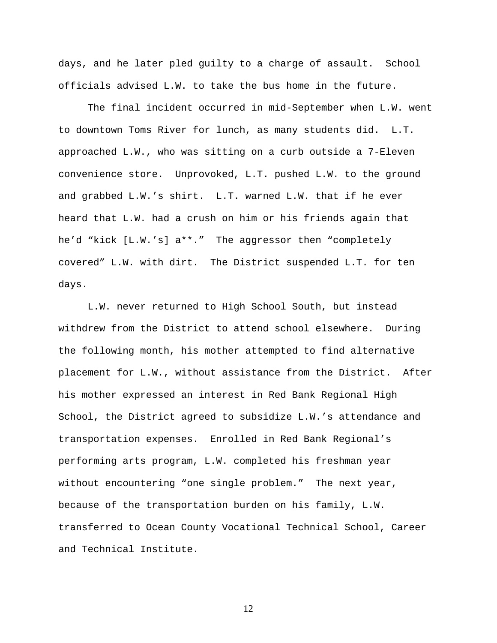days, and he later pled guilty to a charge of assault. School officials advised L.W. to take the bus home in the future.

 The final incident occurred in mid-September when L.W. went to downtown Toms River for lunch, as many students did. L.T. approached L.W., who was sitting on a curb outside a 7-Eleven convenience store. Unprovoked, L.T. pushed L.W. to the ground and grabbed L.W.'s shirt. L.T. warned L.W. that if he ever heard that L.W. had a crush on him or his friends again that he'd "kick [L.W.'s] a\*\*." The aggressor then "completely covered" L.W. with dirt. The District suspended L.T. for ten days.

 L.W. never returned to High School South, but instead withdrew from the District to attend school elsewhere. During the following month, his mother attempted to find alternative placement for L.W., without assistance from the District. After his mother expressed an interest in Red Bank Regional High School, the District agreed to subsidize L.W.'s attendance and transportation expenses. Enrolled in Red Bank Regional's performing arts program, L.W. completed his freshman year without encountering "one single problem." The next year, because of the transportation burden on his family, L.W. transferred to Ocean County Vocational Technical School, Career and Technical Institute.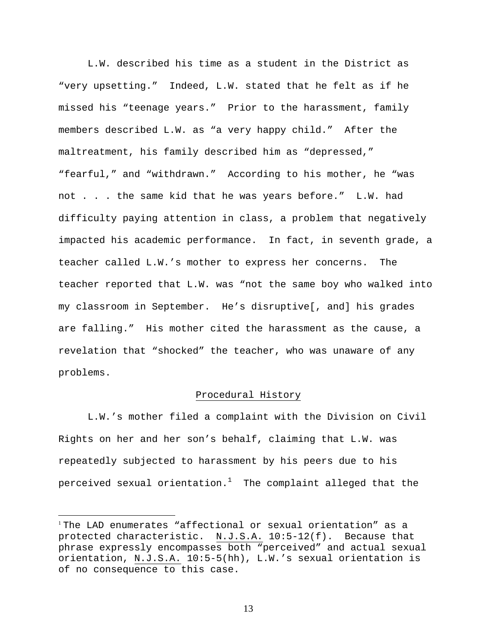L.W. described his time as a student in the District as "very upsetting." Indeed, L.W. stated that he felt as if he missed his "teenage years." Prior to the harassment, family members described L.W. as "a very happy child." After the maltreatment, his family described him as "depressed," "fearful," and "withdrawn." According to his mother, he "was not . . . the same kid that he was years before." L.W. had difficulty paying attention in class, a problem that negatively impacted his academic performance. In fact, in seventh grade, a teacher called L.W.'s mother to express her concerns. The teacher reported that L.W. was "not the same boy who walked into my classroom in September. He's disruptive[, and] his grades are falling." His mother cited the harassment as the cause, a revelation that "shocked" the teacher, who was unaware of any problems.

## Procedural History

L.W.'s mother filed a complaint with the Division on Civil Rights on her and her son's behalf, claiming that L.W. was repeatedly subjected to harassment by his peers due to his perceived sexual orientation. $^1$  The complaint alleged that the

 $\overline{a}$ 

<sup>1</sup> The LAD enumerates "affectional or sexual orientation" as a protected characteristic. N.J.S.A. 10:5-12(f). Because that phrase expressly encompasses both "perceived" and actual sexual orientation, N.J.S.A. 10:5-5(hh), L.W.'s sexual orientation is of no consequence to this case.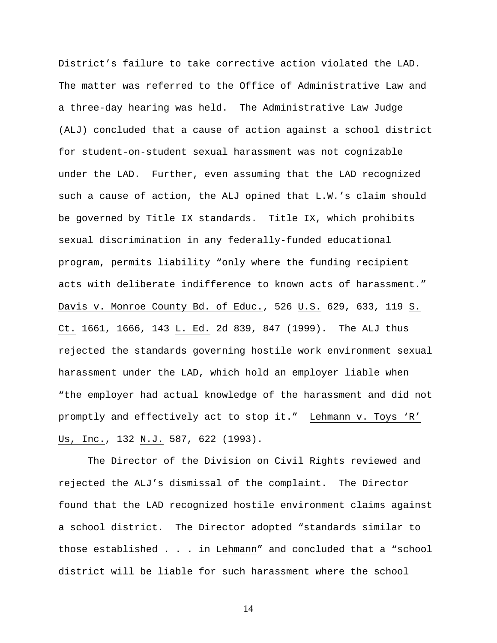District's failure to take corrective action violated the LAD. The matter was referred to the Office of Administrative Law and a three-day hearing was held. The Administrative Law Judge (ALJ) concluded that a cause of action against a school district for student-on-student sexual harassment was not cognizable under the LAD. Further, even assuming that the LAD recognized such a cause of action, the ALJ opined that L.W.'s claim should be governed by Title IX standards. Title IX, which prohibits sexual discrimination in any federally-funded educational program, permits liability "only where the funding recipient acts with deliberate indifference to known acts of harassment." Davis v. Monroe County Bd. of Educ., 526 U.S. 629, 633, 119 S. Ct. 1661, 1666, 143 L. Ed. 2d 839, 847 (1999). The ALJ thus rejected the standards governing hostile work environment sexual harassment under the LAD, which hold an employer liable when "the employer had actual knowledge of the harassment and did not promptly and effectively act to stop it." Lehmann v. Toys 'R' Us, Inc., 132 N.J. 587, 622 (1993).

 The Director of the Division on Civil Rights reviewed and rejected the ALJ's dismissal of the complaint. The Director found that the LAD recognized hostile environment claims against a school district. The Director adopted "standards similar to those established . . . in Lehmann" and concluded that a "school district will be liable for such harassment where the school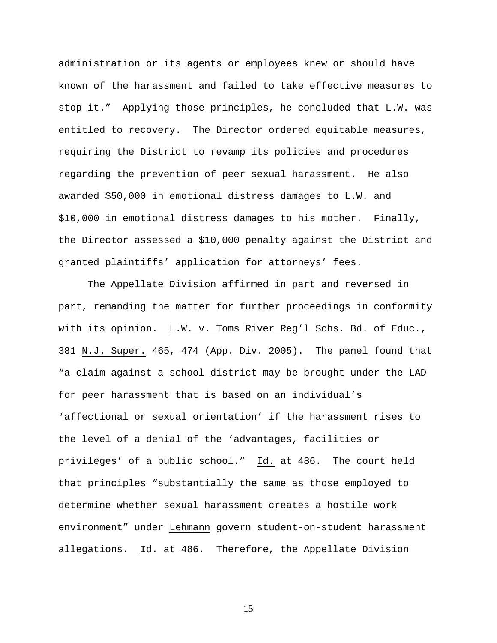administration or its agents or employees knew or should have known of the harassment and failed to take effective measures to stop it." Applying those principles, he concluded that L.W. was entitled to recovery. The Director ordered equitable measures, requiring the District to revamp its policies and procedures regarding the prevention of peer sexual harassment. He also awarded \$50,000 in emotional distress damages to L.W. and \$10,000 in emotional distress damages to his mother. Finally, the Director assessed a \$10,000 penalty against the District and granted plaintiffs' application for attorneys' fees.

 The Appellate Division affirmed in part and reversed in part, remanding the matter for further proceedings in conformity with its opinion. L.W. v. Toms River Reg'l Schs. Bd. of Educ., 381 N.J. Super. 465, 474 (App. Div. 2005). The panel found that "a claim against a school district may be brought under the LAD for peer harassment that is based on an individual's 'affectional or sexual orientation' if the harassment rises to the level of a denial of the 'advantages, facilities or privileges' of a public school." Id. at 486. The court held that principles "substantially the same as those employed to determine whether sexual harassment creates a hostile work environment" under Lehmann govern student-on-student harassment allegations. Id. at 486. Therefore, the Appellate Division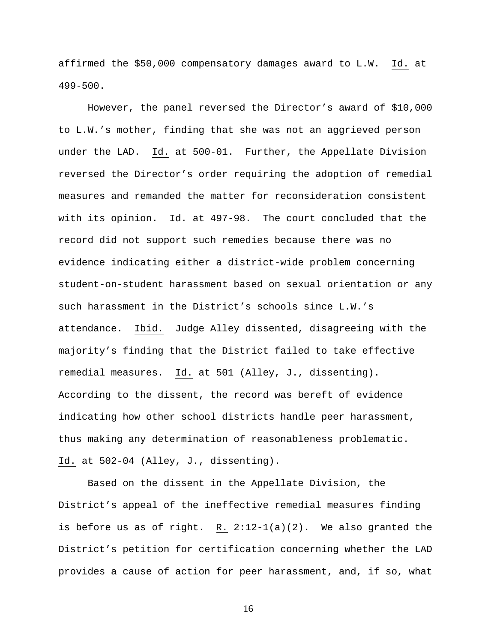affirmed the \$50,000 compensatory damages award to L.W. Id. at 499-500.

However, the panel reversed the Director's award of \$10,000 to L.W.'s mother, finding that she was not an aggrieved person under the LAD. Id. at 500-01. Further, the Appellate Division reversed the Director's order requiring the adoption of remedial measures and remanded the matter for reconsideration consistent with its opinion. Id. at 497-98. The court concluded that the record did not support such remedies because there was no evidence indicating either a district-wide problem concerning student-on-student harassment based on sexual orientation or any such harassment in the District's schools since L.W.'s attendance. Ibid. Judge Alley dissented, disagreeing with the majority's finding that the District failed to take effective remedial measures. Id. at 501 (Alley, J., dissenting). According to the dissent, the record was bereft of evidence indicating how other school districts handle peer harassment, thus making any determination of reasonableness problematic. Id. at 502-04 (Alley, J., dissenting).

Based on the dissent in the Appellate Division, the District's appeal of the ineffective remedial measures finding is before us as of right. R. 2:12-1(a)(2). We also granted the District's petition for certification concerning whether the LAD provides a cause of action for peer harassment, and, if so, what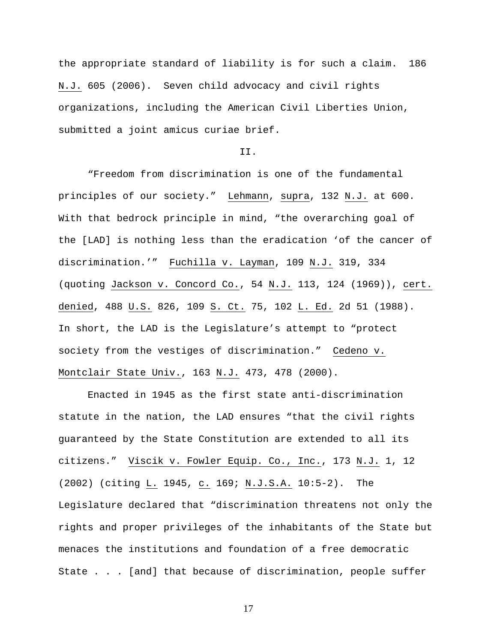the appropriate standard of liability is for such a claim. 186 N.J. 605 (2006). Seven child advocacy and civil rights organizations, including the American Civil Liberties Union, submitted a joint amicus curiae brief.

## II.

"Freedom from discrimination is one of the fundamental principles of our society." Lehmann, supra, 132 N.J. at 600. With that bedrock principle in mind, "the overarching goal of the [LAD] is nothing less than the eradication 'of the cancer of discrimination.'" Fuchilla v. Layman, 109 N.J. 319, 334 (quoting Jackson v. Concord Co., 54 N.J. 113, 124 (1969)), cert. denied, 488 U.S. 826, 109 S. Ct. 75, 102 L. Ed. 2d 51 (1988). In short, the LAD is the Legislature's attempt to "protect society from the vestiges of discrimination." Cedeno v. Montclair State Univ., 163 N.J. 473, 478 (2000).

Enacted in 1945 as the first state anti-discrimination statute in the nation, the LAD ensures "that the civil rights guaranteed by the State Constitution are extended to all its citizens." Viscik v. Fowler Equip. Co., Inc., 173 N.J. 1, 12 (2002) (citing L. 1945, c. 169; N.J.S.A. 10:5-2).The Legislature declared that "discrimination threatens not only the rights and proper privileges of the inhabitants of the State but menaces the institutions and foundation of a free democratic State . . . [and] that because of discrimination, people suffer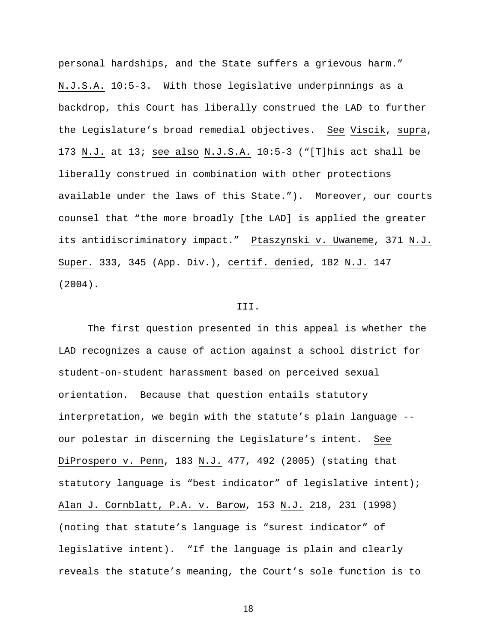personal hardships, and the State suffers a grievous harm." N.J.S.A. 10:5-3. With those legislative underpinnings as a backdrop, this Court has liberally construed the LAD to further the Legislature's broad remedial objectives. See Viscik, supra, 173 N.J. at 13; see also N.J.S.A. 10:5-3 ("[T]his act shall be liberally construed in combination with other protections available under the laws of this State."). Moreover, our courts counsel that "the more broadly [the LAD] is applied the greater its antidiscriminatory impact." Ptaszynski v. Uwaneme, 371 N.J. Super. 333, 345 (App. Div.), certif. denied, 182 N.J. 147 (2004).

#### III.

 The first question presented in this appeal is whether the LAD recognizes a cause of action against a school district for student-on-student harassment based on perceived sexual orientation. Because that question entails statutory interpretation, we begin with the statute's plain language - our polestar in discerning the Legislature's intent. See DiProspero v. Penn, 183 N.J. 477, 492 (2005) (stating that statutory language is "best indicator" of legislative intent); Alan J. Cornblatt, P.A. v. Barow, 153 N.J. 218, 231 (1998) (noting that statute's language is "surest indicator" of legislative intent). "If the language is plain and clearly reveals the statute's meaning, the Court's sole function is to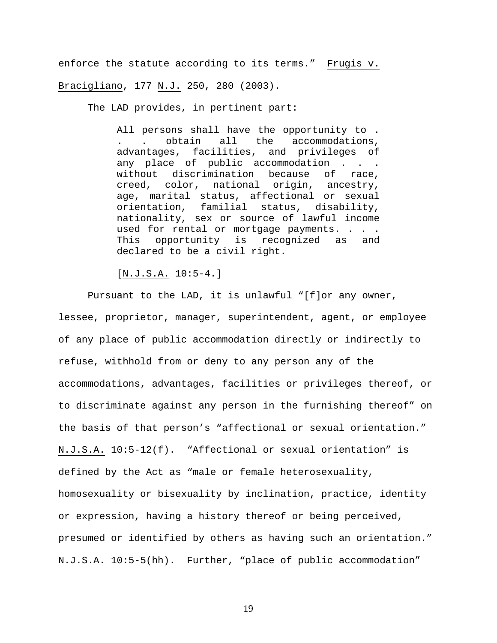enforce the statute according to its terms." Frugis v. Bracigliano, 177 N.J. 250, 280 (2003).

The LAD provides, in pertinent part:

All persons shall have the opportunity to. . obtain all the accommodations, advantages, facilities, and privileges of any place of public accommodation . . . without discrimination because of race, creed, color, national origin, ancestry, age, marital status, affectional or sexual orientation, familial status, disability, nationality, sex or source of lawful income used for rental or mortgage payments. . . . This opportunity is recognized as and declared to be a civil right.

[N.J.S.A. 10:5-4.]

 Pursuant to the LAD, it is unlawful "[f]or any owner, lessee, proprietor, manager, superintendent, agent, or employee of any place of public accommodation directly or indirectly to refuse, withhold from or deny to any person any of the accommodations, advantages, facilities or privileges thereof, or to discriminate against any person in the furnishing thereof" on the basis of that person's "affectional or sexual orientation." N.J.S.A. 10:5-12(f). "Affectional or sexual orientation" is defined by the Act as "male or female heterosexuality, homosexuality or bisexuality by inclination, practice, identity or expression, having a history thereof or being perceived, presumed or identified by others as having such an orientation." N.J.S.A. 10:5-5(hh). Further, "place of public accommodation"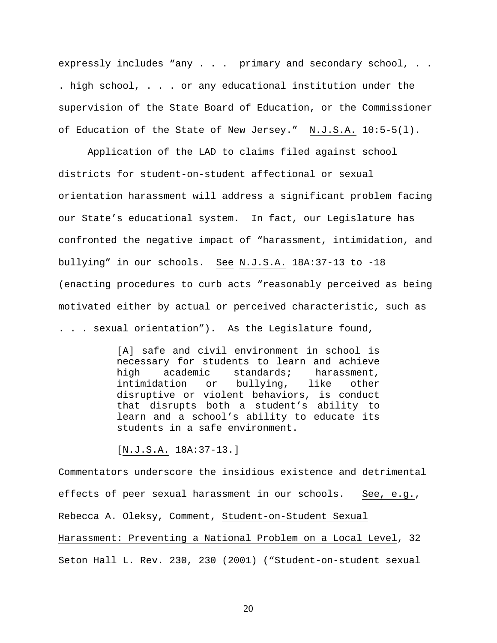expressly includes "any . . . primary and secondary school, . . . high school, . . . or any educational institution under the supervision of the State Board of Education, or the Commissioner of Education of the State of New Jersey." N.J.S.A. 10:5-5(l).

Application of the LAD to claims filed against school districts for student-on-student affectional or sexual orientation harassment will address a significant problem facing our State's educational system. In fact, our Legislature has confronted the negative impact of "harassment, intimidation, and bullying" in our schools. See N.J.S.A. 18A:37-13 to -18 (enacting procedures to curb acts "reasonably perceived as being motivated either by actual or perceived characteristic, such as . . . sexual orientation"). As the Legislature found,

> [A] safe and civil environment in school is necessary for students to learn and achieve high academic standards; harassment, intimidation or bullying, like other disruptive or violent behaviors, is conduct that disrupts both a student's ability to learn and a school's ability to educate its students in a safe environment.

[N.J.S.A. 18A:37-13.]

Commentators underscore the insidious existence and detrimental effects of peer sexual harassment in our schools. See, e.g., Rebecca A. Oleksy, Comment, Student-on-Student Sexual Harassment: Preventing a National Problem on a Local Level, 32 Seton Hall L. Rev. 230, 230 (2001) ("Student-on-student sexual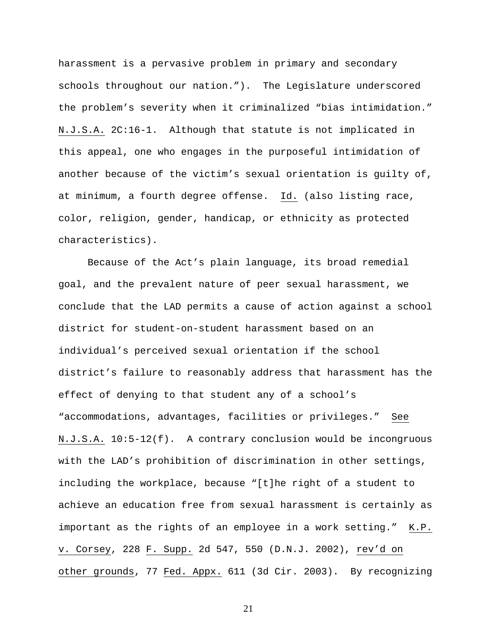harassment is a pervasive problem in primary and secondary schools throughout our nation."). The Legislature underscored the problem's severity when it criminalized "bias intimidation." N.J.S.A. 2C:16-1. Although that statute is not implicated in this appeal, one who engages in the purposeful intimidation of another because of the victim's sexual orientation is guilty of, at minimum, a fourth degree offense. Id. (also listing race, color, religion, gender, handicap, or ethnicity as protected characteristics).

Because of the Act's plain language, its broad remedial goal, and the prevalent nature of peer sexual harassment, we conclude that the LAD permits a cause of action against a school district for student-on-student harassment based on an individual's perceived sexual orientation if the school district's failure to reasonably address that harassment has the effect of denying to that student any of a school's "accommodations, advantages, facilities or privileges." See N.J.S.A. 10:5-12(f). A contrary conclusion would be incongruous with the LAD's prohibition of discrimination in other settings, including the workplace, because "[t]he right of a student to achieve an education free from sexual harassment is certainly as important as the rights of an employee in a work setting." K.P. v. Corsey, 228 F. Supp. 2d 547, 550 (D.N.J. 2002), rev'd on other grounds, 77 Fed. Appx. 611 (3d Cir. 2003). By recognizing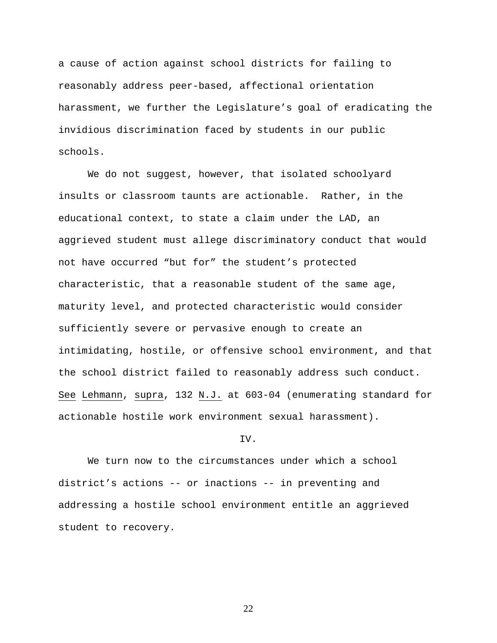a cause of action against school districts for failing to reasonably address peer-based, affectional orientation harassment, we further the Legislature's goal of eradicating the invidious discrimination faced by students in our public schools.

We do not suggest, however, that isolated schoolyard insults or classroom taunts are actionable. Rather, in the educational context, to state a claim under the LAD, an aggrieved student must allege discriminatory conduct that would not have occurred "but for" the student's protected characteristic, that a reasonable student of the same age, maturity level, and protected characteristic would consider sufficiently severe or pervasive enough to create an intimidating, hostile, or offensive school environment, and that the school district failed to reasonably address such conduct. See Lehmann, supra, 132 N.J. at 603-04 (enumerating standard for actionable hostile work environment sexual harassment).

#### IV.

 We turn now to the circumstances under which a school district's actions -- or inactions -- in preventing and addressing a hostile school environment entitle an aggrieved student to recovery.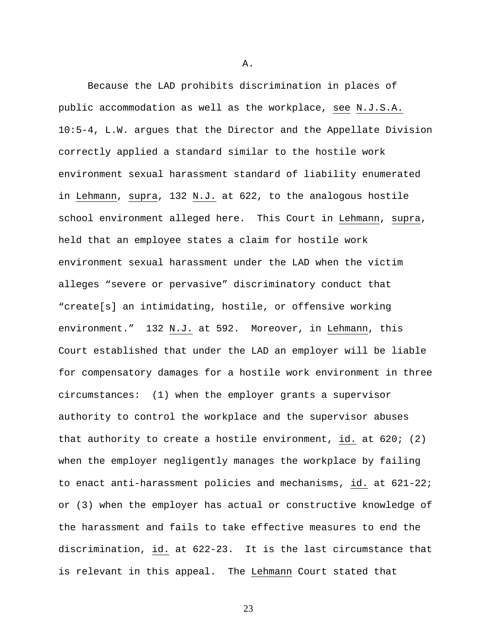Because the LAD prohibits discrimination in places of public accommodation as well as the workplace, see N.J.S.A. 10:5-4, L.W. argues that the Director and the Appellate Division correctly applied a standard similar to the hostile work environment sexual harassment standard of liability enumerated in Lehmann, supra, 132 N.J. at 622, to the analogous hostile school environment alleged here. This Court in Lehmann, supra, held that an employee states a claim for hostile work environment sexual harassment under the LAD when the victim alleges "severe or pervasive" discriminatory conduct that "create[s] an intimidating, hostile, or offensive working environment." 132 N.J. at 592. Moreover, in Lehmann, this Court established that under the LAD an employer will be liable for compensatory damages for a hostile work environment in three circumstances: (1) when the employer grants a supervisor authority to control the workplace and the supervisor abuses that authority to create a hostile environment, id. at 620; (2) when the employer negligently manages the workplace by failing to enact anti-harassment policies and mechanisms, id. at 621-22; or (3) when the employer has actual or constructive knowledge of the harassment and fails to take effective measures to end the discrimination, id. at 622-23. It is the last circumstance that is relevant in this appeal. The Lehmann Court stated that

A.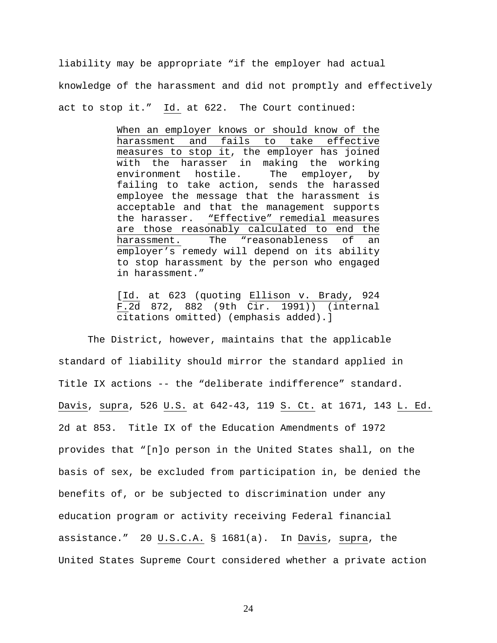liability may be appropriate "if the employer had actual knowledge of the harassment and did not promptly and effectively act to stop it." Id. at 622. The Court continued:

> When an employer knows or should know of the harassment and fails to take effective measures to stop it, the employer has joined with the harasser in making the working environment hostile. The employer, by failing to take action, sends the harassed employee the message that the harassment is acceptable and that the management supports the harasser. "Effective" remedial measures are those reasonably calculated to end the harassment. The "reasonableness of an employer's remedy will depend on its ability to stop harassment by the person who engaged in harassment."

> [Id. at 623 (quoting Ellison v. Brady, 924 F.2d 872, 882 (9th Cir. 1991)) (internal citations omitted) (emphasis added).]

The District, however, maintains that the applicable standard of liability should mirror the standard applied in Title IX actions -- the "deliberate indifference" standard. Davis, supra, 526 U.S. at 642-43, 119 S. Ct. at 1671, 143 L. Ed. 2d at 853. Title IX of the Education Amendments of 1972 provides that "[n]o person in the United States shall, on the basis of sex, be excluded from participation in, be denied the benefits of, or be subjected to discrimination under any education program or activity receiving Federal financial assistance." 20 U.S.C.A. § 1681(a). In Davis, supra, the United States Supreme Court considered whether a private action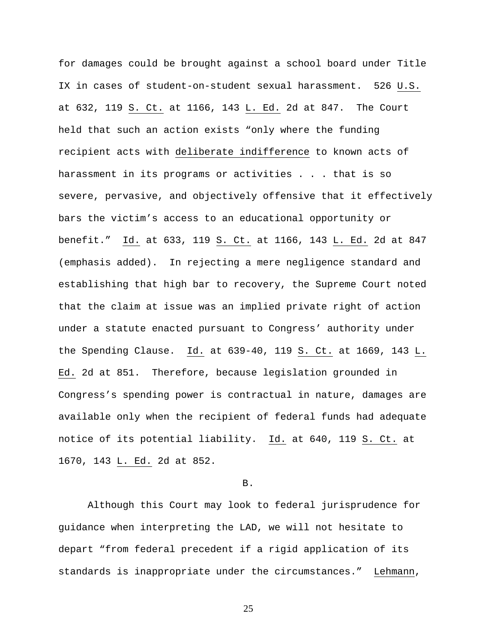for damages could be brought against a school board under Title IX in cases of student-on-student sexual harassment. 526 U.S. at 632, 119 S. Ct. at 1166, 143 L. Ed. 2d at 847. The Court held that such an action exists "only where the funding recipient acts with deliberate indifference to known acts of harassment in its programs or activities . . . that is so severe, pervasive, and objectively offensive that it effectively bars the victim's access to an educational opportunity or benefit." Id. at 633, 119 S. Ct. at 1166, 143 L. Ed. 2d at 847 (emphasis added). In rejecting a mere negligence standard and establishing that high bar to recovery, the Supreme Court noted that the claim at issue was an implied private right of action under a statute enacted pursuant to Congress' authority under the Spending Clause. Id. at  $639-40$ , 119 S. Ct. at 1669, 143 L. Ed. 2d at 851. Therefore, because legislation grounded in Congress's spending power is contractual in nature, damages are available only when the recipient of federal funds had adequate notice of its potential liability. Id. at 640, 119 S. Ct. at 1670, 143 L. Ed. 2d at 852.

B.

Although this Court may look to federal jurisprudence for guidance when interpreting the LAD, we will not hesitate to depart "from federal precedent if a rigid application of its standards is inappropriate under the circumstances." Lehmann,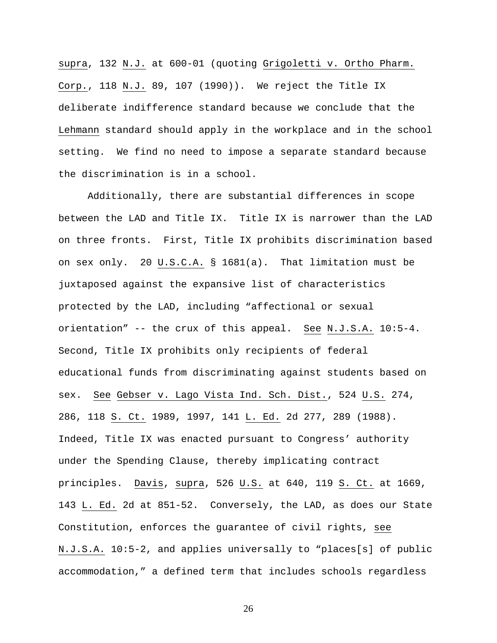supra, 132 N.J. at 600-01 (quoting Grigoletti v. Ortho Pharm. Corp., 118 N.J. 89, 107 (1990)). We reject the Title IX deliberate indifference standard because we conclude that the Lehmann standard should apply in the workplace and in the school setting. We find no need to impose a separate standard because the discrimination is in a school.

Additionally, there are substantial differences in scope between the LAD and Title IX. Title IX is narrower than the LAD on three fronts. First, Title IX prohibits discrimination based on sex only. 20 U.S.C.A. § 1681(a). That limitation must be juxtaposed against the expansive list of characteristics protected by the LAD, including "affectional or sexual orientation" -- the crux of this appeal. See N.J.S.A. 10:5-4. Second, Title IX prohibits only recipients of federal educational funds from discriminating against students based on sex. See Gebser v. Lago Vista Ind. Sch. Dist., 524 U.S. 274, 286, 118 S. Ct. 1989, 1997, 141 L. Ed. 2d 277, 289 (1988). Indeed, Title IX was enacted pursuant to Congress' authority under the Spending Clause, thereby implicating contract principles. Davis, supra, 526 U.S. at 640, 119 S. Ct. at 1669, 143 L. Ed. 2d at 851-52. Conversely, the LAD, as does our State Constitution, enforces the guarantee of civil rights, see N.J.S.A. 10:5-2, and applies universally to "places[s] of public accommodation," a defined term that includes schools regardless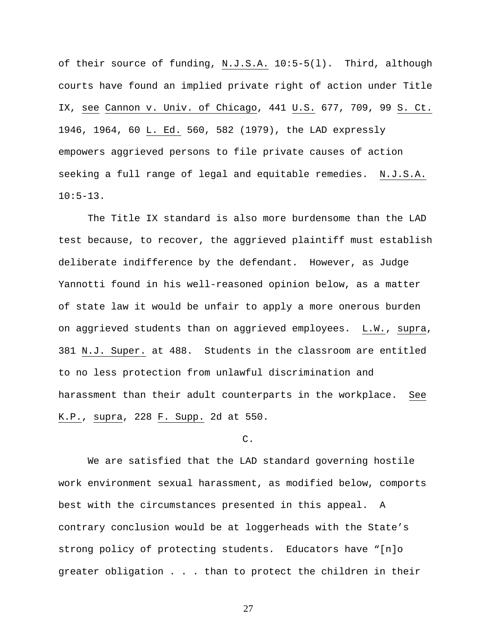of their source of funding, N.J.S.A. 10:5-5(l). Third, although courts have found an implied private right of action under Title IX, see Cannon v. Univ. of Chicago, 441 U.S. 677, 709, 99 S. Ct. 1946, 1964, 60 L. Ed. 560, 582 (1979), the LAD expressly empowers aggrieved persons to file private causes of action seeking a full range of legal and equitable remedies. N.J.S.A. 10:5-13.

 The Title IX standard is also more burdensome than the LAD test because, to recover, the aggrieved plaintiff must establish deliberate indifference by the defendant. However, as Judge Yannotti found in his well-reasoned opinion below, as a matter of state law it would be unfair to apply a more onerous burden on aggrieved students than on aggrieved employees. L.W., supra, 381 N.J. Super. at 488. Students in the classroom are entitled to no less protection from unlawful discrimination and harassment than their adult counterparts in the workplace. See K.P., supra, 228 F. Supp. 2d at 550.

## C.

 We are satisfied that the LAD standard governing hostile work environment sexual harassment, as modified below, comports best with the circumstances presented in this appeal. A contrary conclusion would be at loggerheads with the State's strong policy of protecting students. Educators have "[n]o greater obligation . . . than to protect the children in their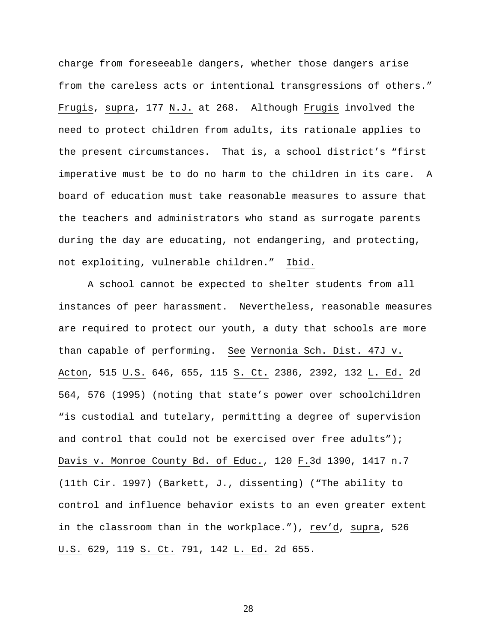charge from foreseeable dangers, whether those dangers arise from the careless acts or intentional transgressions of others." Frugis, supra, 177 N.J. at 268. Although Frugis involved the need to protect children from adults, its rationale applies to the present circumstances. That is, a school district's "first imperative must be to do no harm to the children in its care. A board of education must take reasonable measures to assure that the teachers and administrators who stand as surrogate parents during the day are educating, not endangering, and protecting, not exploiting, vulnerable children." Ibid.

A school cannot be expected to shelter students from all instances of peer harassment. Nevertheless, reasonable measures are required to protect our youth, a duty that schools are more than capable of performing. See Vernonia Sch. Dist. 47J v. Acton, 515 U.S. 646, 655, 115 S. Ct. 2386, 2392, 132 L. Ed. 2d 564, 576 (1995) (noting that state's power over schoolchildren "is custodial and tutelary, permitting a degree of supervision and control that could not be exercised over free adults"); Davis v. Monroe County Bd. of Educ., 120 F.3d 1390, 1417 n.7 (11th Cir. 1997) (Barkett, J., dissenting) ("The ability to control and influence behavior exists to an even greater extent in the classroom than in the workplace."), rev'd, supra, 526 U.S. 629, 119 S. Ct. 791, 142 L. Ed. 2d 655.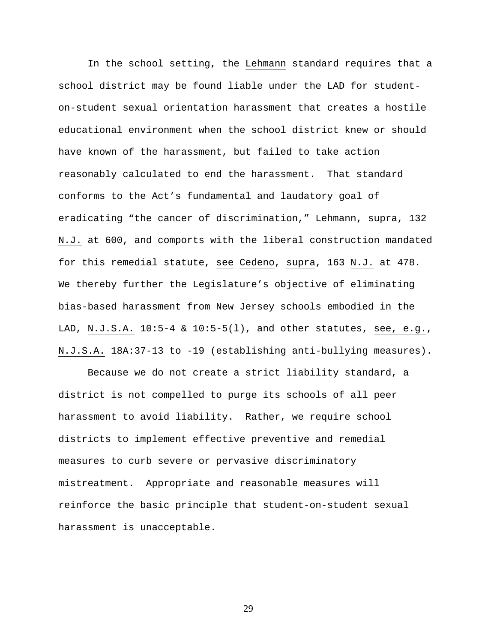In the school setting, the Lehmann standard requires that a school district may be found liable under the LAD for studenton-student sexual orientation harassment that creates a hostile educational environment when the school district knew or should have known of the harassment, but failed to take action reasonably calculated to end the harassment. That standard conforms to the Act's fundamental and laudatory goal of eradicating "the cancer of discrimination," Lehmann, supra, 132 N.J. at 600, and comports with the liberal construction mandated for this remedial statute, see Cedeno, supra, 163 N.J. at 478. We thereby further the Legislature's objective of eliminating bias-based harassment from New Jersey schools embodied in the LAD, N.J.S.A. 10:5-4 & 10:5-5(l), and other statutes, see, e.g., N.J.S.A. 18A:37-13 to -19 (establishing anti-bullying measures).

Because we do not create a strict liability standard, a district is not compelled to purge its schools of all peer harassment to avoid liability. Rather, we require school districts to implement effective preventive and remedial measures to curb severe or pervasive discriminatory mistreatment. Appropriate and reasonable measures will reinforce the basic principle that student-on-student sexual harassment is unacceptable.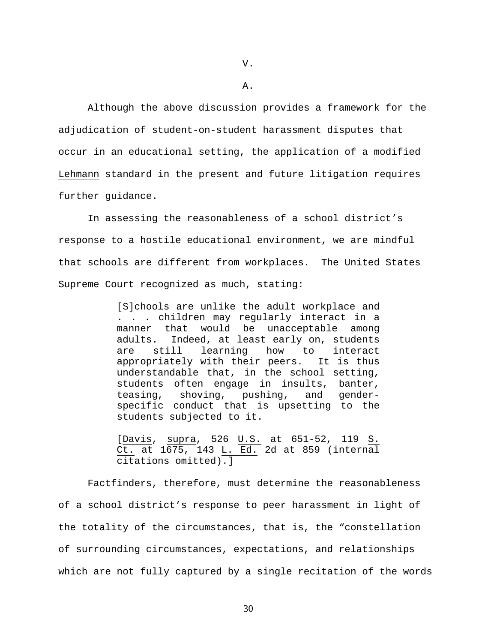A.

Although the above discussion provides a framework for the adjudication of student-on-student harassment disputes that occur in an educational setting, the application of a modified Lehmann standard in the present and future litigation requires further guidance.

In assessing the reasonableness of a school district's response to a hostile educational environment, we are mindful that schools are different from workplaces. The United States Supreme Court recognized as much, stating:

> [S]chools are unlike the adult workplace and . . . children may regularly interact in a manner that would be unacceptable among adults. Indeed, at least early on, students are still learning how to interact appropriately with their peers. It is thus understandable that, in the school setting, students often engage in insults, banter, teasing, shoving, pushing, and genderspecific conduct that is upsetting to the students subjected to it.

> [Davis, supra, 526 U.S. at 651-52, 119 S. Ct. at 1675, 143 L. Ed. 2d at 859 (internal citations omitted).]

Factfinders, therefore, must determine the reasonableness of a school district's response to peer harassment in light of the totality of the circumstances, that is, the "constellation of surrounding circumstances, expectations, and relationships which are not fully captured by a single recitation of the words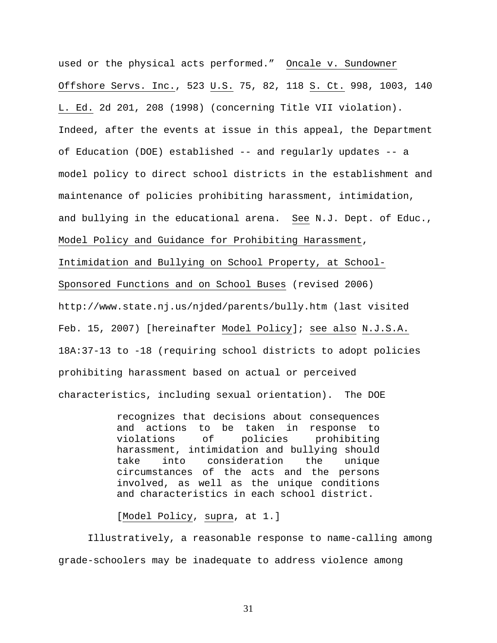used or the physical acts performed." Oncale v. Sundowner Offshore Servs. Inc., 523 U.S. 75, 82, 118 S. Ct. 998, 1003, 140 L. Ed. 2d 201, 208 (1998) (concerning Title VII violation). Indeed, after the events at issue in this appeal, the Department of Education (DOE) established -- and regularly updates -- a model policy to direct school districts in the establishment and maintenance of policies prohibiting harassment, intimidation, and bullying in the educational arena. See N.J. Dept. of Educ., Model Policy and Guidance for Prohibiting Harassment, Intimidation and Bullying on School Property, at School-Sponsored Functions and on School Buses (revised 2006) http://www.state.nj.us/njded/parents/bully.htm (last visited Feb. 15, 2007) [hereinafter Model Policy]; see also N.J.S.A. 18A:37-13 to -18 (requiring school districts to adopt policies prohibiting harassment based on actual or perceived characteristics, including sexual orientation). The DOE

> recognizes that decisions about consequences and actions to be taken in response to violations of policies prohibiting harassment, intimidation and bullying should take into consideration the unique circumstances of the acts and the persons involved, as well as the unique conditions and characteristics in each school district.

[Model Policy, supra, at 1.]

Illustratively, a reasonable response to name-calling among grade-schoolers may be inadequate to address violence among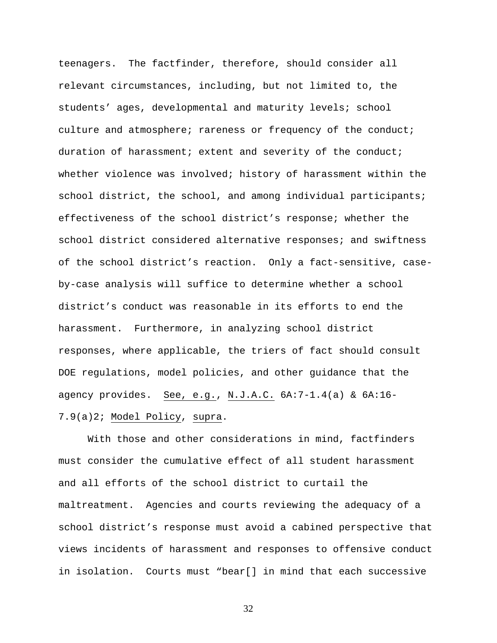teenagers. The factfinder, therefore, should consider all relevant circumstances, including, but not limited to, the students' ages, developmental and maturity levels; school culture and atmosphere; rareness or frequency of the conduct; duration of harassment; extent and severity of the conduct; whether violence was involved; history of harassment within the school district, the school, and among individual participants; effectiveness of the school district's response; whether the school district considered alternative responses; and swiftness of the school district's reaction. Only a fact-sensitive, caseby-case analysis will suffice to determine whether a school district's conduct was reasonable in its efforts to end the harassment. Furthermore, in analyzing school district responses, where applicable, the triers of fact should consult DOE regulations, model policies, and other guidance that the agency provides. See, e.g., N.J.A.C. 6A:7-1.4(a) & 6A:16- 7.9(a)2; Model Policy, supra.

 With those and other considerations in mind, factfinders must consider the cumulative effect of all student harassment and all efforts of the school district to curtail the maltreatment. Agencies and courts reviewing the adequacy of a school district's response must avoid a cabined perspective that views incidents of harassment and responses to offensive conduct in isolation. Courts must "bear[] in mind that each successive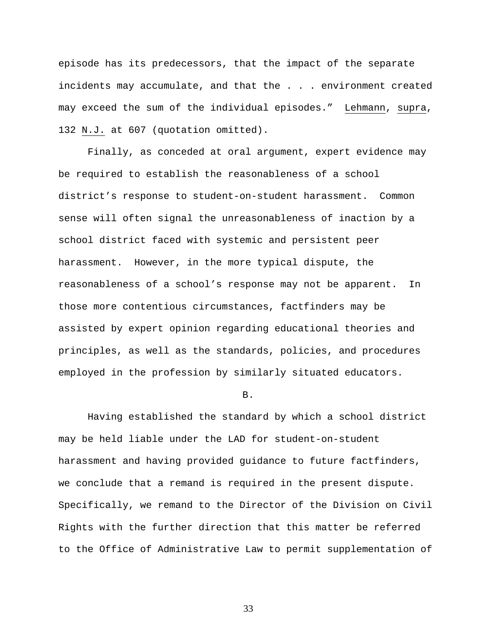episode has its predecessors, that the impact of the separate incidents may accumulate, and that the . . . environment created may exceed the sum of the individual episodes." Lehmann, supra, 132 N.J. at 607 (quotation omitted).

 Finally, as conceded at oral argument, expert evidence may be required to establish the reasonableness of a school district's response to student-on-student harassment. Common sense will often signal the unreasonableness of inaction by a school district faced with systemic and persistent peer harassment. However, in the more typical dispute, the reasonableness of a school's response may not be apparent. In those more contentious circumstances, factfinders may be assisted by expert opinion regarding educational theories and principles, as well as the standards, policies, and procedures employed in the profession by similarly situated educators.

B.

 Having established the standard by which a school district may be held liable under the LAD for student-on-student harassment and having provided guidance to future factfinders, we conclude that a remand is required in the present dispute. Specifically, we remand to the Director of the Division on Civil Rights with the further direction that this matter be referred to the Office of Administrative Law to permit supplementation of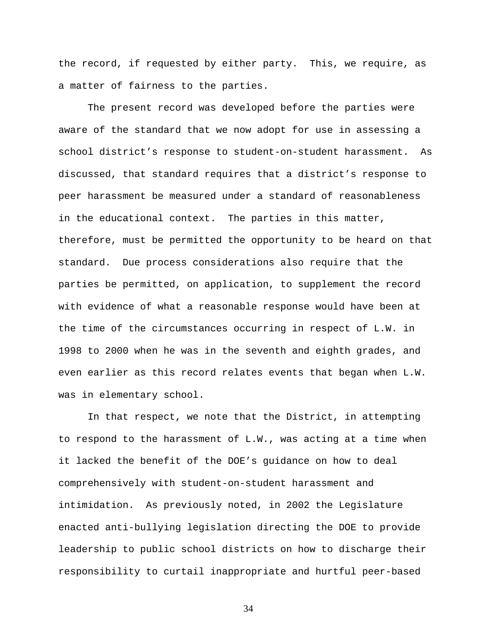the record, if requested by either party. This, we require, as a matter of fairness to the parties.

 The present record was developed before the parties were aware of the standard that we now adopt for use in assessing a school district's response to student-on-student harassment. As discussed, that standard requires that a district's response to peer harassment be measured under a standard of reasonableness in the educational context. The parties in this matter, therefore, must be permitted the opportunity to be heard on that standard. Due process considerations also require that the parties be permitted, on application, to supplement the record with evidence of what a reasonable response would have been at the time of the circumstances occurring in respect of L.W. in 1998 to 2000 when he was in the seventh and eighth grades, and even earlier as this record relates events that began when L.W. was in elementary school.

 In that respect, we note that the District, in attempting to respond to the harassment of L.W., was acting at a time when it lacked the benefit of the DOE's guidance on how to deal comprehensively with student-on-student harassment and intimidation. As previously noted, in 2002 the Legislature enacted anti-bullying legislation directing the DOE to provide leadership to public school districts on how to discharge their responsibility to curtail inappropriate and hurtful peer-based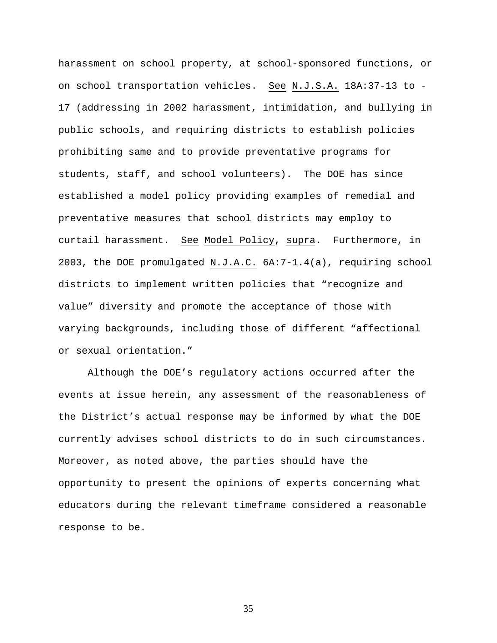harassment on school property, at school-sponsored functions, or on school transportation vehicles. See N.J.S.A. 18A:37-13 to - 17 (addressing in 2002 harassment, intimidation, and bullying in public schools, and requiring districts to establish policies prohibiting same and to provide preventative programs for students, staff, and school volunteers). The DOE has since established a model policy providing examples of remedial and preventative measures that school districts may employ to curtail harassment. See Model Policy, supra. Furthermore, in 2003, the DOE promulgated N.J.A.C. 6A:7-1.4(a), requiring school districts to implement written policies that "recognize and value" diversity and promote the acceptance of those with varying backgrounds, including those of different "affectional or sexual orientation."

 Although the DOE's regulatory actions occurred after the events at issue herein, any assessment of the reasonableness of the District's actual response may be informed by what the DOE currently advises school districts to do in such circumstances. Moreover, as noted above, the parties should have the opportunity to present the opinions of experts concerning what educators during the relevant timeframe considered a reasonable response to be.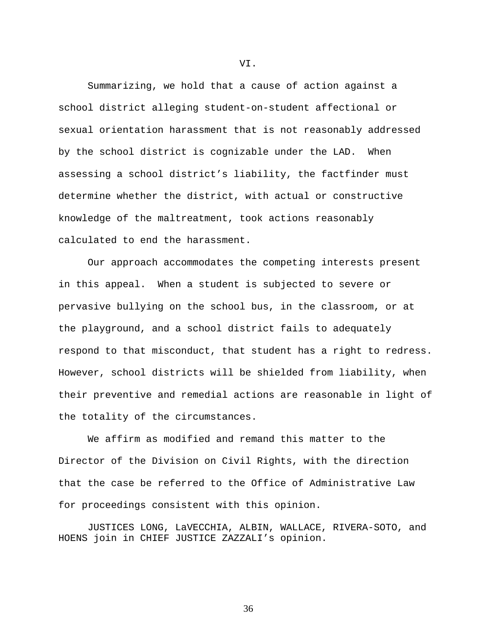Summarizing, we hold that a cause of action against a school district alleging student-on-student affectional or sexual orientation harassment that is not reasonably addressed by the school district is cognizable under the LAD. When assessing a school district's liability, the factfinder must determine whether the district, with actual or constructive knowledge of the maltreatment, took actions reasonably calculated to end the harassment.

 Our approach accommodates the competing interests present in this appeal. When a student is subjected to severe or pervasive bullying on the school bus, in the classroom, or at the playground, and a school district fails to adequately respond to that misconduct, that student has a right to redress. However, school districts will be shielded from liability, when their preventive and remedial actions are reasonable in light of the totality of the circumstances.

 We affirm as modified and remand this matter to the Director of the Division on Civil Rights, with the direction that the case be referred to the Office of Administrative Law for proceedings consistent with this opinion.

 JUSTICES LONG, LaVECCHIA, ALBIN, WALLACE, RIVERA-SOTO, and HOENS join in CHIEF JUSTICE ZAZZALI's opinion.

VI.